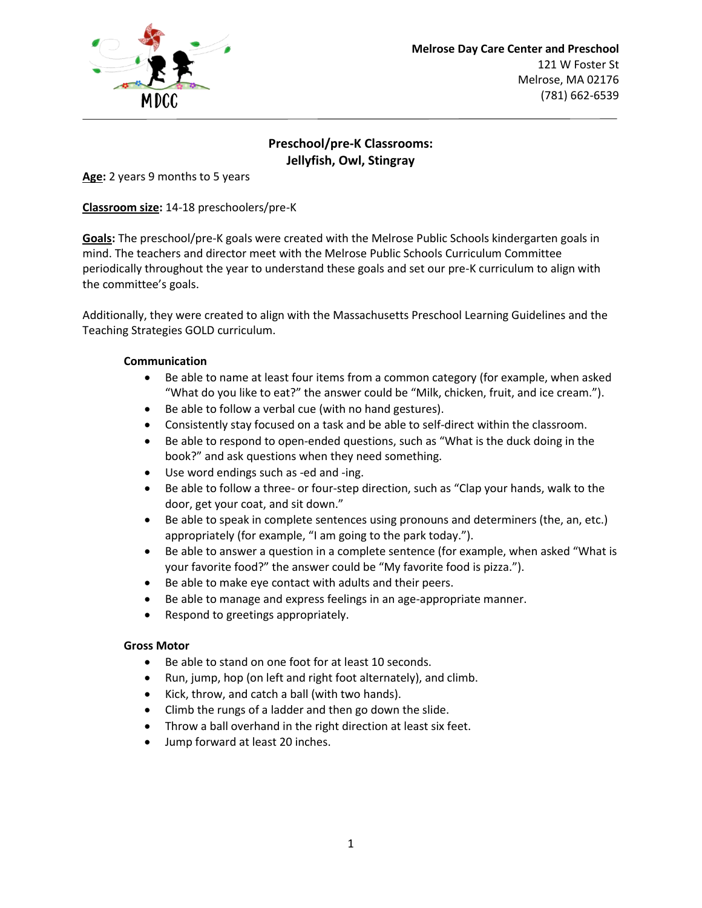

# **Preschool/pre-K Classrooms: Jellyfish, Owl, Stingray**

**Age:** 2 years 9 months to 5 years

**Classroom size:** 14-18 preschoolers/pre-K

**Goals:** The preschool/pre-K goals were created with the Melrose Public Schools kindergarten goals in mind. The teachers and director meet with the Melrose Public Schools Curriculum Committee periodically throughout the year to understand these goals and set our pre-K curriculum to align with the committee's goals.

Additionally, they were created to align with the Massachusetts Preschool Learning Guidelines and the Teaching Strategies GOLD curriculum.

## **Communication**

- Be able to name at least four items from a common category (for example, when asked "What do you like to eat?" the answer could be "Milk, chicken, fruit, and ice cream.").
- Be able to follow a verbal cue (with no hand gestures).
- Consistently stay focused on a task and be able to self-direct within the classroom.
- Be able to respond to open-ended questions, such as "What is the duck doing in the book?" and ask questions when they need something.
- Use word endings such as -ed and -ing.
- Be able to follow a three- or four-step direction, such as "Clap your hands, walk to the door, get your coat, and sit down."
- Be able to speak in complete sentences using pronouns and determiners (the, an, etc.) appropriately (for example, "I am going to the park today.").
- Be able to answer a question in a complete sentence (for example, when asked "What is your favorite food?" the answer could be "My favorite food is pizza.").
- Be able to make eye contact with adults and their peers.
- Be able to manage and express feelings in an age-appropriate manner.
- Respond to greetings appropriately.

## **Gross Motor**

- Be able to stand on one foot for at least 10 seconds.
- Run, jump, hop (on left and right foot alternately), and climb.
- Kick, throw, and catch a ball (with two hands).
- Climb the rungs of a ladder and then go down the slide.
- Throw a ball overhand in the right direction at least six feet.
- Jump forward at least 20 inches.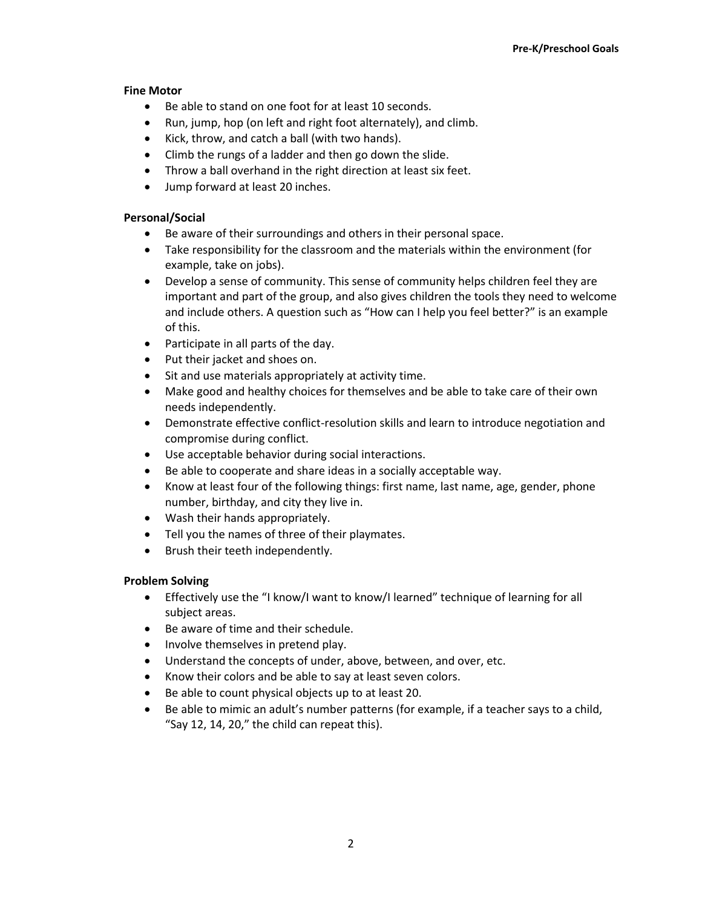## **Fine Motor**

- Be able to stand on one foot for at least 10 seconds.
- Run, jump, hop (on left and right foot alternately), and climb.
- Kick, throw, and catch a ball (with two hands).
- Climb the rungs of a ladder and then go down the slide.
- Throw a ball overhand in the right direction at least six feet.
- Jump forward at least 20 inches.

## **Personal/Social**

- Be aware of their surroundings and others in their personal space.
- Take responsibility for the classroom and the materials within the environment (for example, take on jobs).
- Develop a sense of community. This sense of community helps children feel they are important and part of the group, and also gives children the tools they need to welcome and include others. A question such as "How can I help you feel better?" is an example of this.
- Participate in all parts of the day.
- Put their jacket and shoes on.
- Sit and use materials appropriately at activity time.
- Make good and healthy choices for themselves and be able to take care of their own needs independently.
- Demonstrate effective conflict-resolution skills and learn to introduce negotiation and compromise during conflict.
- Use acceptable behavior during social interactions.
- Be able to cooperate and share ideas in a socially acceptable way.
- Know at least four of the following things: first name, last name, age, gender, phone number, birthday, and city they live in.
- Wash their hands appropriately.
- Tell you the names of three of their playmates.
- Brush their teeth independently.

## **Problem Solving**

- Effectively use the "I know/I want to know/I learned" technique of learning for all subject areas.
- Be aware of time and their schedule.
- Involve themselves in pretend play.
- Understand the concepts of under, above, between, and over, etc.
- Know their colors and be able to say at least seven colors.
- Be able to count physical objects up to at least 20.
- Be able to mimic an adult's number patterns (for example, if a teacher says to a child, "Say 12, 14, 20," the child can repeat this).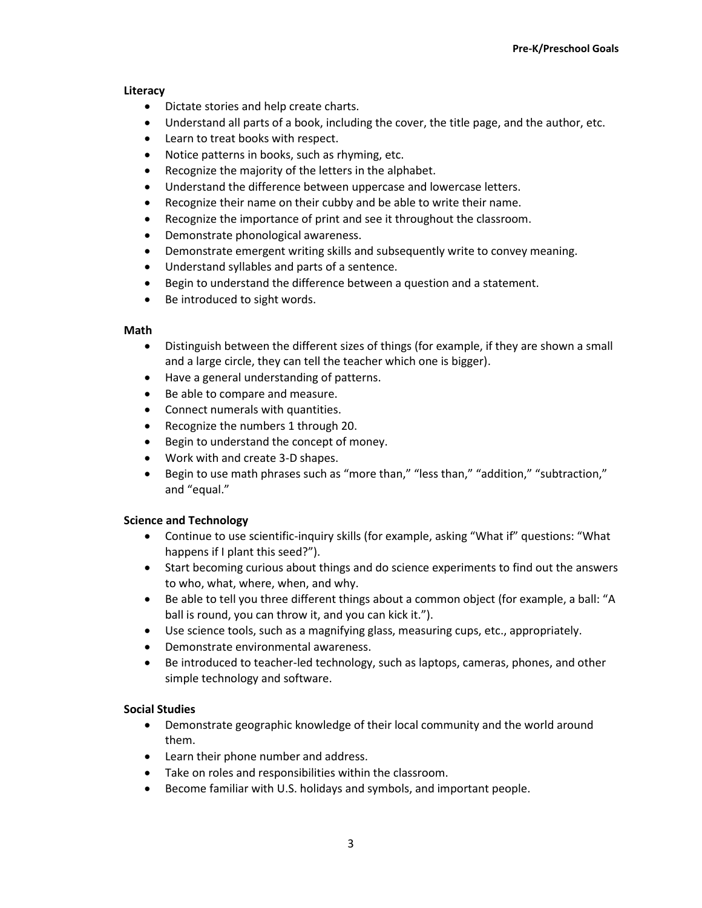#### **Literacy**

- Dictate stories and help create charts.
- Understand all parts of a book, including the cover, the title page, and the author, etc.
- Learn to treat books with respect.
- Notice patterns in books, such as rhyming, etc.
- Recognize the majority of the letters in the alphabet.
- Understand the difference between uppercase and lowercase letters.
- Recognize their name on their cubby and be able to write their name.
- Recognize the importance of print and see it throughout the classroom.
- Demonstrate phonological awareness.
- Demonstrate emergent writing skills and subsequently write to convey meaning.
- Understand syllables and parts of a sentence.
- Begin to understand the difference between a question and a statement.
- Be introduced to sight words.

#### **Math**

- Distinguish between the different sizes of things (for example, if they are shown a small and a large circle, they can tell the teacher which one is bigger).
- Have a general understanding of patterns.
- Be able to compare and measure.
- Connect numerals with quantities.
- Recognize the numbers 1 through 20.
- Begin to understand the concept of money.
- Work with and create 3-D shapes.
- Begin to use math phrases such as "more than," "less than," "addition," "subtraction," and "equal."

## **Science and Technology**

- Continue to use scientific-inquiry skills (for example, asking "What if" questions: "What happens if I plant this seed?").
- Start becoming curious about things and do science experiments to find out the answers to who, what, where, when, and why.
- Be able to tell you three different things about a common object (for example, a ball: "A ball is round, you can throw it, and you can kick it.").
- Use science tools, such as a magnifying glass, measuring cups, etc., appropriately.
- Demonstrate environmental awareness.
- Be introduced to teacher-led technology, such as laptops, cameras, phones, and other simple technology and software.

## **Social Studies**

- Demonstrate geographic knowledge of their local community and the world around them.
- Learn their phone number and address.
- Take on roles and responsibilities within the classroom.
- Become familiar with U.S. holidays and symbols, and important people.